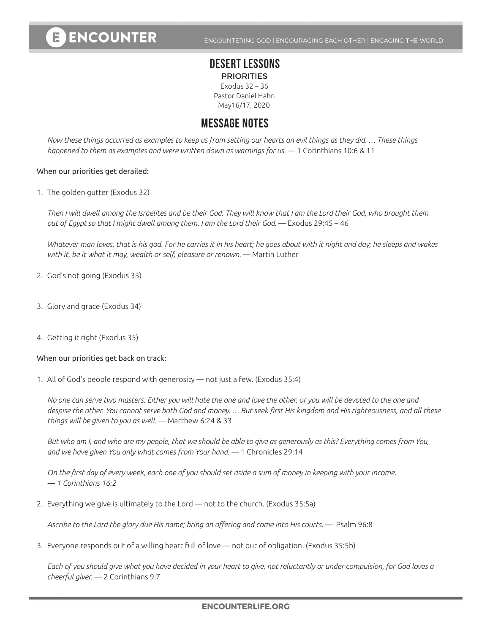# **ENCOUNTER**

ENCOUNTERING GOD | ENCOURAGING EACH OTHER | ENGAGING THE WORLD

## **DESERT LESSONS**

**PRIORITIES** Exodus 32 – 36 Pastor Daniel Hahn May16/17, 2020

## **MESSAGE NOTES**

*Now these things occurred as examples to keep us from setting our hearts on evil things as they did. … These things happened to them as examples and were written down as warnings for us.* — 1 Corinthians 10:6 & 11

#### When our priorities get derailed:

1. The golden gutter (Exodus 32)

*Then I will dwell among the Israelites and be their God. They will know that I am the Lord their God, who brought them out of Egypt so that I might dwell among them. I am the Lord their God.* — Exodus 29:45 – 46

*Whatever man loves, that is his god. For he carries it in his heart; he goes about with it night and day; he sleeps and wakes*  with it, be it what it may, wealth or self, pleasure or renown. — Martin Luther

- 2. God's not going (Exodus 33)
- 3. Glory and grace (Exodus 34)
- 4. Getting it right (Exodus 35)

#### When our priorities get back on track:

1. All of God's people respond with generosity — not just a few. (Exodus 35:4)

*No one can serve two masters. Either you will hate the one and love the other, or you will be devoted to the one and despise the other. You cannot serve both God and money. … But seek first His kingdom and His righteousness, and all these things will be given to you as well.* — Matthew 6:24 & 33

*But who am I, and who are my people, that we should be able to give as generously as this? Everything comes from You, and we have given You only what comes from Your hand.* — 1 Chronicles 29:14

*On the first day of every week, each one of you should set aside a sum of money in keeping with your income. — 1 Corinthians 16:2*

2. Everything we give is ultimately to the Lord — not to the church. (Exodus 35:5a)

*Ascribe to the Lord the glory due His name; bring an offering and come into His courts.* — Psalm 96:8

3. Everyone responds out of a willing heart full of love — not out of obligation. (Exodus 35:5b)

*Each of you should give what you have decided in your heart to give, not reluctantly or under compulsion, for God loves a cheerful giver.* — 2 Corinthians 9:7